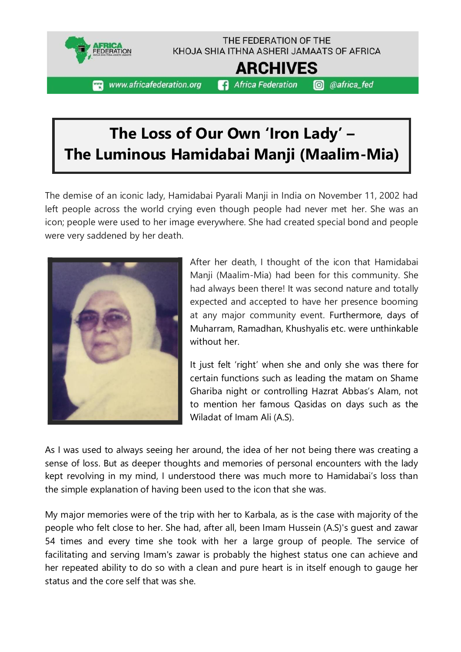

## **The Loss of Our Own 'Iron Lady' – The Luminous Hamidabai Manji (Maalim-Mia)**

The demise of an iconic lady, Hamidabai Pyarali Manji in India on November 11, 2002 had left people across the world crying even though people had never met her. She was an icon; people were used to her image everywhere. She had created special bond and people were very saddened by her death.



After her death, I thought of the icon that Hamidabai Manji (Maalim-Mia) had been for this community. She had always been there! It was second nature and totally expected and accepted to have her presence booming at any major community event. Furthermore, days of Muharram, Ramadhan, Khushyalis etc. were unthinkable without her.

It just felt 'right' when she and only she was there for certain functions such as leading the matam on Shame Ghariba night or controlling Hazrat Abbas's Alam, not to mention her famous Qasidas on days such as the Wiladat of Imam Ali (A.S).

As I was used to always seeing her around, the idea of her not being there was creating a sense of loss. But as deeper thoughts and memories of personal encounters with the lady kept revolving in my mind, I understood there was much more to Hamidabai's loss than the simple explanation of having been used to the icon that she was.

My major memories were of the trip with her to Karbala, as is the case with majority of the people who felt close to her. She had, after all, been Imam Hussein (A.S)'s guest and zawar 54 times and every time she took with her a large group of people. The service of facilitating and serving Imam's zawar is probably the highest status one can achieve and her repeated ability to do so with a clean and pure heart is in itself enough to gauge her status and the core self that was she.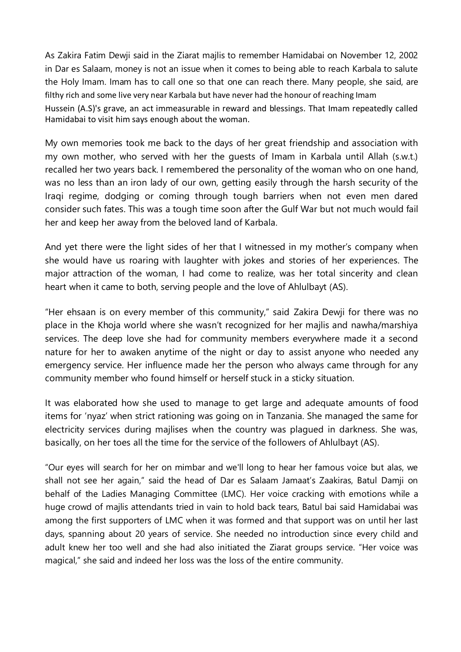As Zakira Fatim Dewji said in the Ziarat majlis to remember Hamidabai on November 12, 2002 in Dar es Salaam, money is not an issue when it comes to being able to reach Karbala to salute the Holy Imam. Imam has to call one so that one can reach there. Many people, she said, are filthy rich and some live very near Karbala but have never had the honour of reaching Imam Hussein (A.S)'s grave, an act immeasurable in reward and blessings. That Imam repeatedly called Hamidabai to visit him says enough about the woman.

My own memories took me back to the days of her great friendship and association with my own mother, who served with her the guests of Imam in Karbala until Allah (s.w.t.) recalled her two years back. I remembered the personality of the woman who on one hand, was no less than an iron lady of our own, getting easily through the harsh security of the Iraqi regime, dodging or coming through tough barriers when not even men dared consider such fates. This was a tough time soon after the Gulf War but not much would fail her and keep her away from the beloved land of Karbala.

And yet there were the light sides of her that I witnessed in my mother's company when she would have us roaring with laughter with jokes and stories of her experiences. The major attraction of the woman, I had come to realize, was her total sincerity and clean heart when it came to both, serving people and the love of Ahlulbayt (AS).

"Her ehsaan is on every member of this community," said Zakira Dewji for there was no place in the Khoja world where she wasn't recognized for her majlis and nawha/marshiya services. The deep love she had for community members everywhere made it a second nature for her to awaken anytime of the night or day to assist anyone who needed any emergency service. Her influence made her the person who always came through for any community member who found himself or herself stuck in a sticky situation.

It was elaborated how she used to manage to get large and adequate amounts of food items for 'nyaz' when strict rationing was going on in Tanzania. She managed the same for electricity services during majlises when the country was plagued in darkness. She was, basically, on her toes all the time for the service of the followers of Ahlulbayt (AS).

"Our eyes will search for her on mimbar and we'll long to hear her famous voice but alas, we shall not see her again," said the head of Dar es Salaam Jamaat's Zaakiras, Batul Damji on behalf of the Ladies Managing Committee (LMC). Her voice cracking with emotions while a huge crowd of majlis attendants tried in vain to hold back tears, Batul bai said Hamidabai was among the first supporters of LMC when it was formed and that support was on until her last days, spanning about 20 years of service. She needed no introduction since every child and adult knew her too well and she had also initiated the Ziarat groups service. "Her voice was magical," she said and indeed her loss was the loss of the entire community.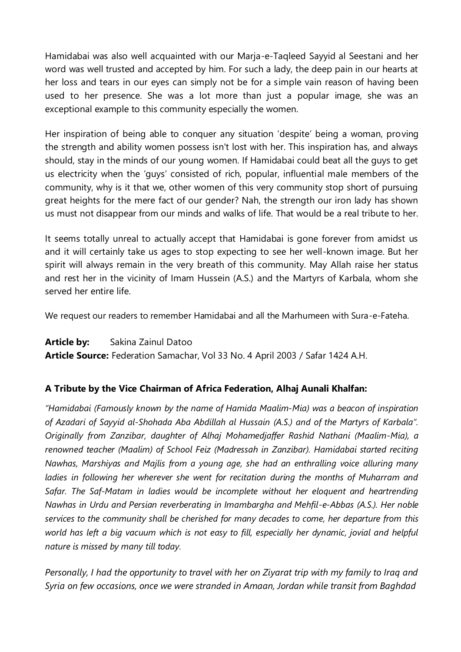Hamidabai was also well acquainted with our Marja-e-Taqleed Sayyid al Seestani and her word was well trusted and accepted by him. For such a lady, the deep pain in our hearts at her loss and tears in our eyes can simply not be for a simple vain reason of having been used to her presence. She was a lot more than just a popular image, she was an exceptional example to this community especially the women.

Her inspiration of being able to conquer any situation 'despite' being a woman, proving the strength and ability women possess isn't lost with her. This inspiration has, and always should, stay in the minds of our young women. If Hamidabai could beat all the guys to get us electricity when the 'guys' consisted of rich, popular, influential male members of the community, why is it that we, other women of this very community stop short of pursuing great heights for the mere fact of our gender? Nah, the strength our iron lady has shown us must not disappear from our minds and walks of life. That would be a real tribute to her.

It seems totally unreal to actually accept that Hamidabai is gone forever from amidst us and it will certainly take us ages to stop expecting to see her well-known image. But her spirit will always remain in the very breath of this community. May Allah raise her status and rest her in the vicinity of Imam Hussein (A.S.) and the Martyrs of Karbala, whom she served her entire life.

We request our readers to remember Hamidabai and all the Marhumeen with Sura-e-Fateha.

**Article by:** Sakina Zainul Datoo **Article Source:** Federation Samachar, Vol 33 No. 4 April 2003 / Safar 1424 A.H.

## **A Tribute by the Vice Chairman of Africa Federation, Alhaj Aunali Khalfan:**

*"Hamidabai (Famously known by the name of Hamida Maalim-Mia) was a beacon of inspiration of Azadari of Sayyid al-Shohada Aba Abdillah al Hussain (A.S.) and of the Martyrs of Karbala". Originally from Zanzibar, daughter of Alhaj Mohamedjaffer Rashid Nathani (Maalim-Mia), a renowned teacher (Maalim) of School Feiz (Madressah in Zanzibar). Hamidabai started reciting Nawhas, Marshiyas and Majlis from a young age, she had an enthralling voice alluring many ladies in following her wherever she went for recitation during the months of Muharram and Safar. The Saf-Matam in ladies would be incomplete without her eloquent and heartrending Nawhas in Urdu and Persian reverberating in Imambargha and Mehfil-e-Abbas (A.S.). Her noble services to the community shall be cherished for many decades to come, her departure from this world has left a big vacuum which is not easy to fill, especially her dynamic, jovial and helpful nature is missed by many till today.*

*Personally, I had the opportunity to travel with her on Ziyarat trip with my family to Iraq and Syria on few occasions, once we were stranded in Amaan, Jordan while transit from Baghdad*